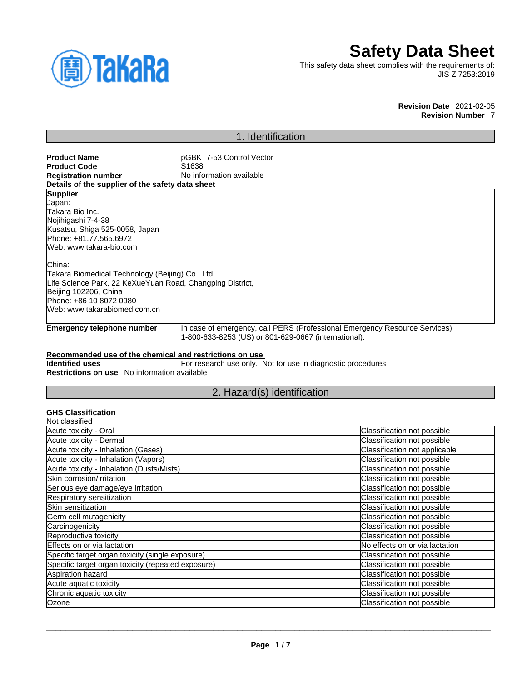

# **Safety Data Sheet**

This safety data sheet complies with the requirements of: JIS Z 7253:2019

> **Revision Date** 2021-02-05 **Revision Number** 7

# 1. Identification

**Product Name** pGBKT7-53 Control Vector **Product Code**<br>Registration number **No information available Details of the supplier of the safety data sheet Emergency telephone number** In case of emergency, call PERS (Professional Emergency Resource Services) 1-800-633-8253 (US) or 801-629-0667 (international). **Recommended use of the chemical and restrictions on use Identified uses** For research use only. Not for use in diagnostic procedures **Restrictions on use** No information available 2. Hazard(s) identification **Supplier** Japan: Takara Bio Inc. Nojihigashi 7-4-38 Kusatsu, Shiga 525-0058, Japan Phone: +81.77.565.6972 Web: www.takara-bio.com China: Takara Biomedical Technology (Beijing) Co., Ltd. Life Science Park, 22 KeXueYuan Road, Changping District, Beijing 102206, China Phone: +86 10 8072 0980 Web: www.takarabiomed.com.cn

## **GHS Classification**

| Not classified                                     |                                |
|----------------------------------------------------|--------------------------------|
| Acute toxicity - Oral                              | Classification not possible    |
| Acute toxicity - Dermal                            | Classification not possible    |
| Acute toxicity - Inhalation (Gases)                | Classification not applicable  |
| Acute toxicity - Inhalation (Vapors)               | Classification not possible    |
| Acute toxicity - Inhalation (Dusts/Mists)          | Classification not possible    |
| Skin corrosion/irritation                          | Classification not possible    |
| Serious eye damage/eye irritation                  | Classification not possible    |
| Respiratory sensitization                          | Classification not possible    |
| Skin sensitization                                 | Classification not possible    |
| Germ cell mutagenicity                             | Classification not possible    |
| Carcinogenicity                                    | Classification not possible    |
| Reproductive toxicity                              | Classification not possible    |
| Effects on or via lactation                        | No effects on or via lactation |
| Specific target organ toxicity (single exposure)   | Classification not possible    |
| Specific target organ toxicity (repeated exposure) | Classification not possible    |
| Aspiration hazard                                  | Classification not possible    |
| Acute aquatic toxicity                             | Classification not possible    |
| Chronic aquatic toxicity                           | Classification not possible    |
| Ozone                                              | Classification not possible    |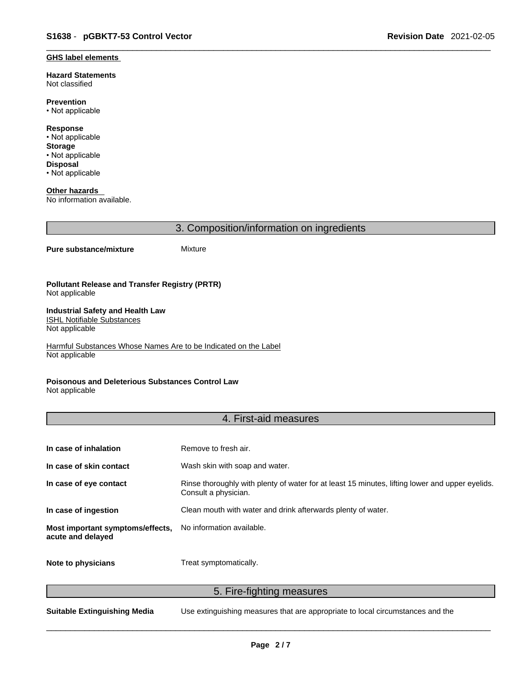#### **GHS label elements**

**Hazard Statements**  Not classified

**Prevention** • Not applicable

**Response** • Not applicable **Storage** • Not applicable **Disposal** • Not applicable

**Other hazards**  No information available.

3. Composition/information on ingredients

### **Pure substance/mixture** Mixture

#### **Pollutant Release and Transfer Registry (PRTR)** Not applicable

#### **Industrial Safety and Health Law**  ISHL Notifiable Substances

Not applicable

Harmful Substances Whose Names Are to be Indicated on the Label Not applicable

## **Poisonous and Deleterious Substances Control Law**

Not applicable

# 4. First-aid measures

| In case of inhalation                                 | Remove to fresh air.                                                                                                    |
|-------------------------------------------------------|-------------------------------------------------------------------------------------------------------------------------|
| In case of skin contact                               | Wash skin with soap and water.                                                                                          |
| In case of eye contact                                | Rinse thoroughly with plenty of water for at least 15 minutes, lifting lower and upper eyelids.<br>Consult a physician. |
| In case of ingestion                                  | Clean mouth with water and drink afterwards plenty of water.                                                            |
| Most important symptoms/effects,<br>acute and delayed | No information available.                                                                                               |
| Note to physicians                                    | Treat symptomatically.                                                                                                  |

5. Fire-fighting measures

**Suitable Extinguishing Media** Use extinguishing measures that are appropriate to local circumstances and the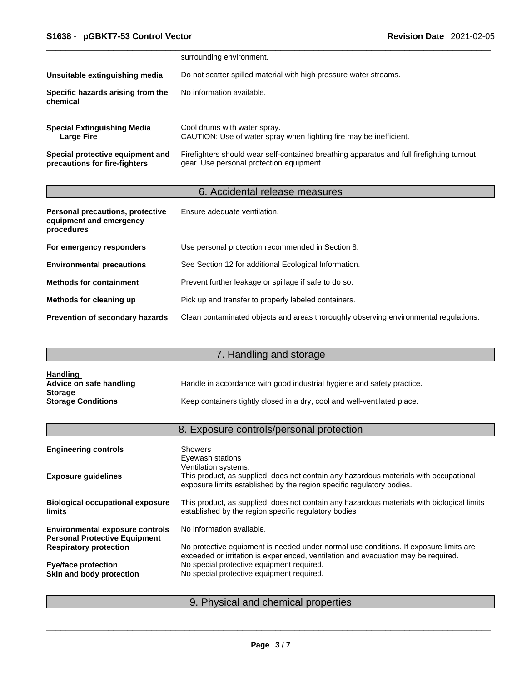|                                                                   | surrounding environment.                                                                                                              |
|-------------------------------------------------------------------|---------------------------------------------------------------------------------------------------------------------------------------|
| Unsuitable extinguishing media                                    | Do not scatter spilled material with high pressure water streams.                                                                     |
| Specific hazards arising from the<br>chemical                     | No information available.                                                                                                             |
| <b>Special Extinguishing Media</b><br><b>Large Fire</b>           | Cool drums with water spray.<br>CAUTION: Use of water spray when fighting fire may be inefficient.                                    |
| Special protective equipment and<br>precautions for fire-fighters | Firefighters should wear self-contained breathing apparatus and full firefighting turnout<br>gear. Use personal protection equipment. |

# 6. Accidental release measures

| Personal precautions, protective<br>equipment and emergency<br>procedures | Ensure adequate ventilation.                                                         |
|---------------------------------------------------------------------------|--------------------------------------------------------------------------------------|
| For emergency responders                                                  | Use personal protection recommended in Section 8.                                    |
| <b>Environmental precautions</b>                                          | See Section 12 for additional Ecological Information.                                |
| <b>Methods for containment</b>                                            | Prevent further leakage or spillage if safe to do so.                                |
| Methods for cleaning up                                                   | Pick up and transfer to properly labeled containers.                                 |
| <b>Prevention of secondary hazards</b>                                    | Clean contaminated objects and areas thoroughly observing environmental regulations. |

# 7. Handling and storage

| <u>Handling</u>           |                                                                          |
|---------------------------|--------------------------------------------------------------------------|
| Advice on safe handling   | Handle in accordance with good industrial hygiene and safety practice.   |
| <b>Storage</b>            |                                                                          |
| <b>Storage Conditions</b> | Keep containers tightly closed in a dry, cool and well-ventilated place. |

# 8. Exposure controls/personal protection

| <b>Engineering controls</b>                                                    | <b>Showers</b><br>Eyewash stations                                                                                                                                                     |
|--------------------------------------------------------------------------------|----------------------------------------------------------------------------------------------------------------------------------------------------------------------------------------|
| <b>Exposure guidelines</b>                                                     | Ventilation systems.<br>This product, as supplied, does not contain any hazardous materials with occupational<br>exposure limits established by the region specific regulatory bodies. |
| <b>Biological occupational exposure</b><br><b>limits</b>                       | This product, as supplied, does not contain any hazardous materials with biological limits<br>established by the region specific regulatory bodies                                     |
| <b>Environmental exposure controls</b><br><b>Personal Protective Equipment</b> | No information available.                                                                                                                                                              |
| <b>Respiratory protection</b>                                                  | No protective equipment is needed under normal use conditions. If exposure limits are<br>exceeded or irritation is experienced, ventilation and evacuation may be required.            |
| <b>Eye/face protection</b>                                                     | No special protective equipment required.                                                                                                                                              |
| Skin and body protection                                                       | No special protective equipment required.                                                                                                                                              |
|                                                                                |                                                                                                                                                                                        |

# 9. Physical and chemical properties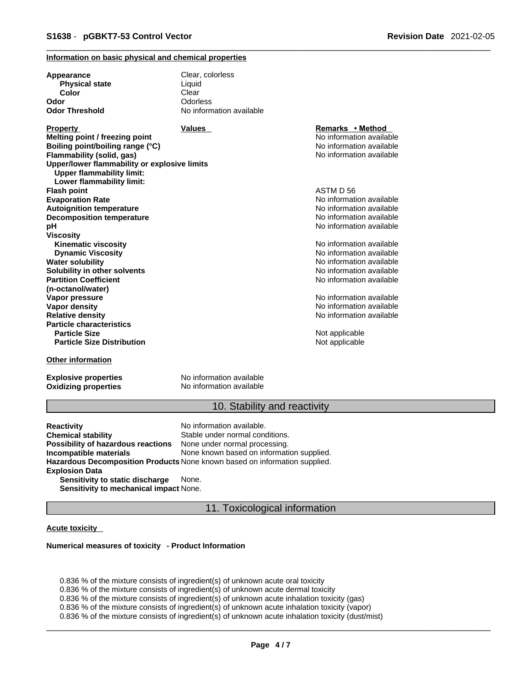### **Information on basic physical and chemical properties**

| Appearance                                                                       | Clear, colorless         |                          |  |
|----------------------------------------------------------------------------------|--------------------------|--------------------------|--|
| <b>Physical state</b>                                                            | Liquid                   |                          |  |
| Color                                                                            | Clear                    |                          |  |
| Odor                                                                             | Odorless                 |                          |  |
| <b>Odor Threshold</b>                                                            | No information available |                          |  |
| Property                                                                         | <b>Values</b>            | Remarks • Method         |  |
| Melting point / freezing point                                                   |                          | No information available |  |
| Boiling point/boiling range (°C)                                                 |                          | No information available |  |
| Flammability (solid, gas)                                                        |                          | No information available |  |
| Upper/lower flammability or explosive limits<br><b>Upper flammability limit:</b> |                          |                          |  |
| Lower flammability limit:                                                        |                          |                          |  |
| <b>Flash point</b>                                                               |                          | ASTM D 56                |  |
| <b>Evaporation Rate</b>                                                          |                          | No information available |  |
| <b>Autoignition temperature</b>                                                  |                          | No information available |  |
| <b>Decomposition temperature</b>                                                 |                          | No information available |  |
| рH                                                                               |                          | No information available |  |
| Viscosity                                                                        |                          |                          |  |
| <b>Kinematic viscosity</b>                                                       |                          | No information available |  |
| <b>Dynamic Viscosity</b>                                                         |                          | No information available |  |
| Water solubility                                                                 |                          | No information available |  |
| Solubility in other solvents                                                     |                          | No information available |  |
| <b>Partition Coefficient</b>                                                     |                          | No information available |  |
| (n-octanol/water)                                                                |                          |                          |  |
| Vapor pressure                                                                   |                          | No information available |  |
| Vapor density                                                                    |                          | No information available |  |
| <b>Relative density</b>                                                          |                          | No information available |  |
| <b>Particle characteristics</b>                                                  |                          |                          |  |
| <b>Particle Size</b>                                                             |                          | Not applicable           |  |
| <b>Particle Size Distribution</b>                                                |                          | Not applicable           |  |
| Other information                                                                |                          |                          |  |

**Explosive properties**<br> **Oxidizing properties**<br>
No information available **Oxidizing properties** 

### 10. Stability and reactivity

**Reactivity Reactivity Reactivity Chemical stability No information available.**<br> **Chemical stability Reaction** Stable under normal cond Stable under normal conditions.<br>None under normal processing. **Possibility of hazardous reactions Incompatible materials** None known based on information supplied. **Hazardous Decomposition Products** None known based on information supplied. **Explosion Data Sensitivity to static discharge** None.

**Sensitivity to mechanical impact** None.

## 11. Toxicological information

### **Acute toxicity**

#### **Numerical measures of toxicity - Product Information**

0.836 % of the mixture consists of ingredient(s) of unknown acute oral toxicity 0.836 % of the mixture consists of ingredient(s) of unknown acute dermal toxicity 0.836 % of the mixture consists of ingredient(s) of unknown acute inhalation toxicity (gas) 0.836 % of the mixture consists of ingredient(s) of unknown acute inhalation toxicity (vapor) 0.836 % of the mixture consists of ingredient(s) of unknown acute inhalation toxicity (dust/mist)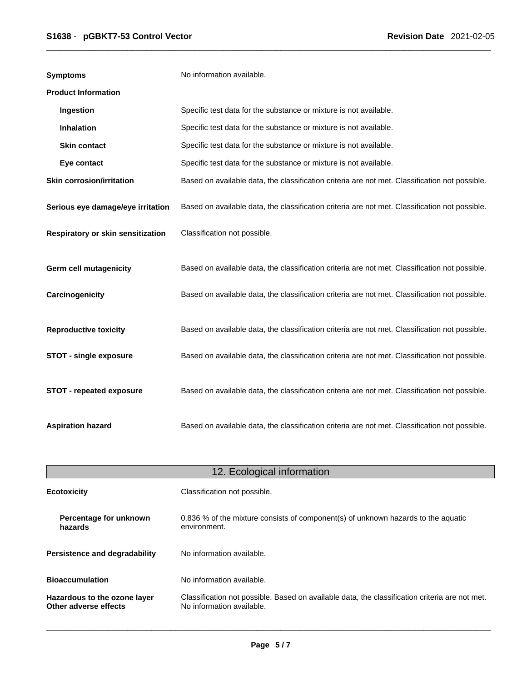| <b>Symptoms</b>                   | No information available.                                                                      |
|-----------------------------------|------------------------------------------------------------------------------------------------|
| <b>Product Information</b>        |                                                                                                |
| Ingestion                         | Specific test data for the substance or mixture is not available.                              |
| <b>Inhalation</b>                 | Specific test data for the substance or mixture is not available.                              |
| <b>Skin contact</b>               | Specific test data for the substance or mixture is not available.                              |
| Eye contact                       | Specific test data for the substance or mixture is not available.                              |
| <b>Skin corrosion/irritation</b>  | Based on available data, the classification criteria are not met. Classification not possible. |
| Serious eye damage/eye irritation | Based on available data, the classification criteria are not met. Classification not possible. |
| Respiratory or skin sensitization | Classification not possible.                                                                   |
| <b>Germ cell mutagenicity</b>     | Based on available data, the classification criteria are not met. Classification not possible. |
| Carcinogenicity                   | Based on available data, the classification criteria are not met. Classification not possible. |
| <b>Reproductive toxicity</b>      | Based on available data, the classification criteria are not met. Classification not possible. |
| <b>STOT - single exposure</b>     | Based on available data, the classification criteria are not met. Classification not possible. |
| <b>STOT - repeated exposure</b>   | Based on available data, the classification criteria are not met. Classification not possible. |
| <b>Aspiration hazard</b>          | Based on available data, the classification criteria are not met. Classification not possible. |

|                                                       | 12. Ecological information                                                                                                  |
|-------------------------------------------------------|-----------------------------------------------------------------------------------------------------------------------------|
| <b>Ecotoxicity</b>                                    | Classification not possible.                                                                                                |
| Percentage for unknown<br>hazards                     | 0.836 % of the mixture consists of component(s) of unknown hazards to the aquatic<br>environment.                           |
| Persistence and degradability                         | No information available.                                                                                                   |
| <b>Bioaccumulation</b>                                | No information available.                                                                                                   |
| Hazardous to the ozone layer<br>Other adverse effects | Classification not possible. Based on available data, the classification criteria are not met.<br>No information available. |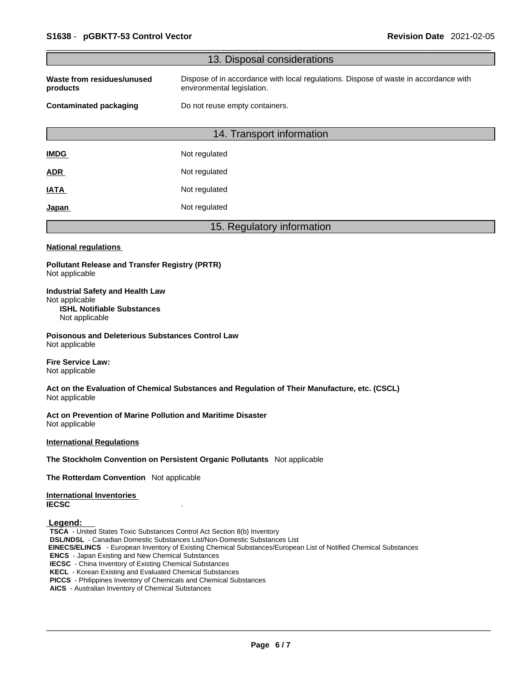| 13. Disposal considerations<br>Dispose of in accordance with local regulations. Dispose of waste in accordance with<br>environmental legislation.<br>Do not reuse empty containers.<br>14. Transport information<br>Not regulated<br>Not regulated<br>Not regulated<br>Not regulated<br>15. Regulatory information<br><b>Pollutant Release and Transfer Registry (PRTR)</b><br><b>ISHL Notifiable Substances</b><br>Not applicable<br><b>Poisonous and Deleterious Substances Control Law</b><br>Act on the Evaluation of Chemical Substances and Regulation of Their Manufacture, etc. (CSCL)<br>Act on Prevention of Marine Pollution and Maritime Disaster<br>The Stockholm Convention on Persistent Organic Pollutants Not applicable<br>The Rotterdam Convention Not applicable<br>TSCA - United States Toxic Substances Control Act Section 8(b) Inventory<br><b>DSL/NDSL</b> - Canadian Domestic Substances List/Non-Domestic Substances List<br>EINECS/ELINCS - European Inventory of Existing Chemical Substances/European List of Notified Chemical Substances<br><b>ENCS</b> - Japan Existing and New Chemical Substances<br><b>IECSC</b> - China Inventory of Existing Chemical Substances<br><b>KECL</b> - Korean Existing and Evaluated Chemical Substances<br>PICCS - Philippines Inventory of Chemicals and Chemical Substances<br>AICS - Australian Inventory of Chemical Substances |                                                           |  |  |  |
|-------------------------------------------------------------------------------------------------------------------------------------------------------------------------------------------------------------------------------------------------------------------------------------------------------------------------------------------------------------------------------------------------------------------------------------------------------------------------------------------------------------------------------------------------------------------------------------------------------------------------------------------------------------------------------------------------------------------------------------------------------------------------------------------------------------------------------------------------------------------------------------------------------------------------------------------------------------------------------------------------------------------------------------------------------------------------------------------------------------------------------------------------------------------------------------------------------------------------------------------------------------------------------------------------------------------------------------------------------------------------------------------------------|-----------------------------------------------------------|--|--|--|
|                                                                                                                                                                                                                                                                                                                                                                                                                                                                                                                                                                                                                                                                                                                                                                                                                                                                                                                                                                                                                                                                                                                                                                                                                                                                                                                                                                                                       |                                                           |  |  |  |
|                                                                                                                                                                                                                                                                                                                                                                                                                                                                                                                                                                                                                                                                                                                                                                                                                                                                                                                                                                                                                                                                                                                                                                                                                                                                                                                                                                                                       | Waste from residues/unused<br>products                    |  |  |  |
|                                                                                                                                                                                                                                                                                                                                                                                                                                                                                                                                                                                                                                                                                                                                                                                                                                                                                                                                                                                                                                                                                                                                                                                                                                                                                                                                                                                                       | <b>Contaminated packaging</b>                             |  |  |  |
|                                                                                                                                                                                                                                                                                                                                                                                                                                                                                                                                                                                                                                                                                                                                                                                                                                                                                                                                                                                                                                                                                                                                                                                                                                                                                                                                                                                                       |                                                           |  |  |  |
|                                                                                                                                                                                                                                                                                                                                                                                                                                                                                                                                                                                                                                                                                                                                                                                                                                                                                                                                                                                                                                                                                                                                                                                                                                                                                                                                                                                                       | <b>IMDG</b>                                               |  |  |  |
|                                                                                                                                                                                                                                                                                                                                                                                                                                                                                                                                                                                                                                                                                                                                                                                                                                                                                                                                                                                                                                                                                                                                                                                                                                                                                                                                                                                                       | <b>ADR</b>                                                |  |  |  |
|                                                                                                                                                                                                                                                                                                                                                                                                                                                                                                                                                                                                                                                                                                                                                                                                                                                                                                                                                                                                                                                                                                                                                                                                                                                                                                                                                                                                       | <b>IATA</b>                                               |  |  |  |
|                                                                                                                                                                                                                                                                                                                                                                                                                                                                                                                                                                                                                                                                                                                                                                                                                                                                                                                                                                                                                                                                                                                                                                                                                                                                                                                                                                                                       | <u>Japan</u>                                              |  |  |  |
|                                                                                                                                                                                                                                                                                                                                                                                                                                                                                                                                                                                                                                                                                                                                                                                                                                                                                                                                                                                                                                                                                                                                                                                                                                                                                                                                                                                                       |                                                           |  |  |  |
|                                                                                                                                                                                                                                                                                                                                                                                                                                                                                                                                                                                                                                                                                                                                                                                                                                                                                                                                                                                                                                                                                                                                                                                                                                                                                                                                                                                                       | <b>National regulations</b>                               |  |  |  |
|                                                                                                                                                                                                                                                                                                                                                                                                                                                                                                                                                                                                                                                                                                                                                                                                                                                                                                                                                                                                                                                                                                                                                                                                                                                                                                                                                                                                       | Not applicable                                            |  |  |  |
|                                                                                                                                                                                                                                                                                                                                                                                                                                                                                                                                                                                                                                                                                                                                                                                                                                                                                                                                                                                                                                                                                                                                                                                                                                                                                                                                                                                                       | <b>Industrial Safety and Health Law</b><br>Not applicable |  |  |  |
|                                                                                                                                                                                                                                                                                                                                                                                                                                                                                                                                                                                                                                                                                                                                                                                                                                                                                                                                                                                                                                                                                                                                                                                                                                                                                                                                                                                                       | Not applicable                                            |  |  |  |
|                                                                                                                                                                                                                                                                                                                                                                                                                                                                                                                                                                                                                                                                                                                                                                                                                                                                                                                                                                                                                                                                                                                                                                                                                                                                                                                                                                                                       | <b>Fire Service Law:</b><br>Not applicable                |  |  |  |
|                                                                                                                                                                                                                                                                                                                                                                                                                                                                                                                                                                                                                                                                                                                                                                                                                                                                                                                                                                                                                                                                                                                                                                                                                                                                                                                                                                                                       | Not applicable                                            |  |  |  |
|                                                                                                                                                                                                                                                                                                                                                                                                                                                                                                                                                                                                                                                                                                                                                                                                                                                                                                                                                                                                                                                                                                                                                                                                                                                                                                                                                                                                       | Not applicable                                            |  |  |  |
|                                                                                                                                                                                                                                                                                                                                                                                                                                                                                                                                                                                                                                                                                                                                                                                                                                                                                                                                                                                                                                                                                                                                                                                                                                                                                                                                                                                                       | <b>International Regulations</b>                          |  |  |  |
|                                                                                                                                                                                                                                                                                                                                                                                                                                                                                                                                                                                                                                                                                                                                                                                                                                                                                                                                                                                                                                                                                                                                                                                                                                                                                                                                                                                                       |                                                           |  |  |  |
|                                                                                                                                                                                                                                                                                                                                                                                                                                                                                                                                                                                                                                                                                                                                                                                                                                                                                                                                                                                                                                                                                                                                                                                                                                                                                                                                                                                                       |                                                           |  |  |  |
|                                                                                                                                                                                                                                                                                                                                                                                                                                                                                                                                                                                                                                                                                                                                                                                                                                                                                                                                                                                                                                                                                                                                                                                                                                                                                                                                                                                                       | <b>International Inventories</b><br><b>IECSC</b>          |  |  |  |
|                                                                                                                                                                                                                                                                                                                                                                                                                                                                                                                                                                                                                                                                                                                                                                                                                                                                                                                                                                                                                                                                                                                                                                                                                                                                                                                                                                                                       | Legend:                                                   |  |  |  |